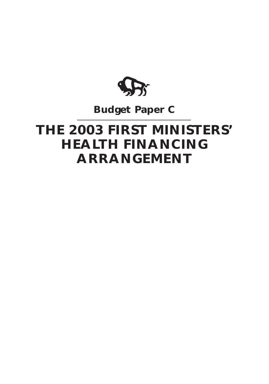

# **Budget Paper C**

# **THE 2003 FIRST MINISTERS' HEALTH FINANCING ARRANGEMENT**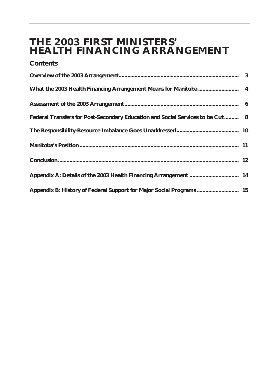# **THE 2003 FIRST MINISTERS' HEALTH FINANCING ARRANGEMENT**

#### **Contents**

| Federal Transfers for Post-Secondary Education and Social Services to be Cut 8 |  |
|--------------------------------------------------------------------------------|--|
|                                                                                |  |
|                                                                                |  |
|                                                                                |  |
|                                                                                |  |
| Appendix B: History of Federal Support for Major Social Programs 15            |  |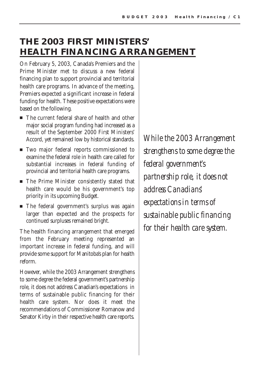# **THE 2003 FIRST MINISTERS' HEALTH FINANCING ARRANGEMENT**

On February 5, 2003, Canada's Premiers and the Prime Minister met to discuss a new federal financing plan to support provincial and territorial health care programs. In advance of the meeting, Premiers expected a significant increase in federal funding for health. These positive expectations were based on the following.

- $\blacksquare$  The current federal share of health and other major social program funding had increased as a result of the September 2000 First Ministers' Accord, yet remained low by historical standards.
- $\blacksquare$  Two major federal reports commissioned to examine the federal role in health care called for substantial increases in federal funding of provincial and territorial health care programs.
- $\blacksquare$  The Prime Minister consistently stated that health care would be his government's top priority in its upcoming Budget.
- $\quad \blacksquare$  The federal government's surplus was again larger than expected and the prospects for continued surpluses remained bright.

The health financing arrangement that emerged from the February meeting represented an important increase in federal funding, and will provide some support for Manitoba's plan for health reform.

However, while the 2003 Arrangement strengthens to some degree the federal government's partnership role, it does not address Canadian's expectations in terms of sustainable public financing for their health care system. Nor does it meet the recommendations of Commissioner Romanow and Senator Kirby in their respective health care reports.

*While the 2003 Arrangement strengthens to some degree the federal government's partnership role, it does not address Canadians' expectations in terms of sustainable public financing for their health care system.*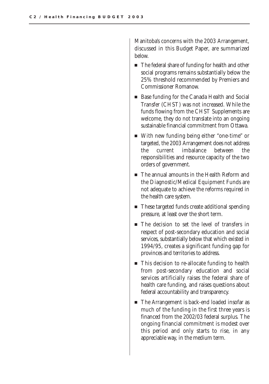Manitoba's concerns with the 2003 Arrangement, discussed in this Budget Paper, are summarized below.

- $\blacksquare$  The federal share of funding for health and other social programs remains substantially below the 25% threshold recommended by Premiers and Commissioner Romanow.
- $\textcolor{black}{\blacksquare}$  Base funding for the Canada Health and Social Transfer (CHST) was not increased. While the funds flowing from the CHST Supplements are welcome, they do not translate into an ongoing sustainable financial commitment from Ottawa.
- $\quad \blacksquare$  With new funding being either "one-time" or targeted, the 2003 Arrangement does not address the current imbalance between the responsibilities and resource capacity of the two orders of government.
- $\blacksquare$  The annual amounts in the Health Reform and the Diagnostic/Medical Equipment Funds are not adequate to achieve the reforms required in the health care system.
- $\quad \blacksquare$  These targeted funds create additional spending pressure, at least over the short term.
- $\blacksquare$  The decision to set the level of transfers in respect of post-secondary education and social services, substantially below that which existed in 1994/95, creates a significant funding gap for provinces and territories to address.
- $\blacksquare$  This decision to re-allocate funding to health from post-secondary education and social services artificially raises the federal share of health care funding, and raises questions about federal accountability and transparency.
- $\quad \blacksquare$  The Arrangement is back-end loaded insofar as much of the funding in the first three years is financed from the 2002/03 federal surplus. The ongoing financial commitment is modest over this period and only starts to rise, in any appreciable way, in the medium term.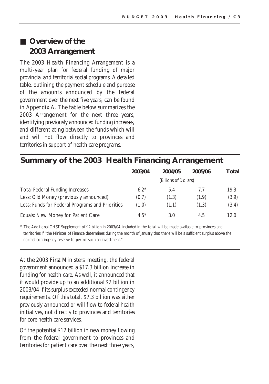# ■ Overview of the **2003 Arrangement**

The 2003 Health Financing Arrangement is a multi-year plan for federal funding of major provincial and territorial social programs. A detailed table, outlining the payment schedule and purpose of the amounts announced by the federal government over the next five years, can be found in Appendix A. The table below summarizes the 2003 Arrangement for the next three years, identifying previously announced funding increases, and differentiating between the funds which will and will not flow directly to provinces and territories in support of health care programs.

#### **Summary of the 2003 Health Financing Arrangement**

|                                                 | 2003/04 | 2004/05               | 2005/06 | Total |
|-------------------------------------------------|---------|-----------------------|---------|-------|
|                                                 |         | (Billions of Dollars) |         |       |
| <b>Total Federal Funding Increases</b>          | $6.2*$  | 5.4                   | 7.7     | 19.3  |
| Less: Old Money (previously announced)          | (0.7)   | (1.3)                 | (1.9)   | (3.9) |
| Less: Funds for Federal Programs and Priorities | (1.0)   | (1.1)                 | (1.3)   | (3.4) |
| Equals: New Money for Patient Care              | $4.5*$  | 3.0                   | 4.5     | 12.0  |

\* The Additional CHST Supplement of \$2 billion in 2003/04, included in the total, will be made available to provinces and territories if "the Minister of Finance determines during the month of January that there will be a sufficient surplus above the normal contingency reserve to permit such an investment."

At the 2003 First Ministers' meeting, the federal government announced a \$17.3 billion increase in funding for health care. As well, it announced that it would provide up to an additional \$2 billion in 2003/04 if its surplus exceeded normal contingency requirements. Of this total, \$7.3 billion was either previously announced or will flow to federal health initiatives, not directly to provinces and territories for core health care services.

Of the potential \$12 billion in new money flowing from the federal government to provinces and territories for patient care over the next three years,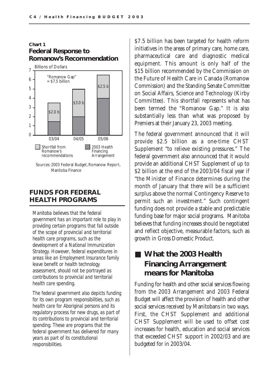#### **Federal Response to Romanow's Recommendation Chart 1**



#### **FUNDS FOR FEDERAL HEALTH PROGRAMS**

*Manitoba believes that the federal government has an important role to play in providing certain programs that fall outside of the scope of provincial and territorial health care programs, such as the development of a National Immunization Strategy. However, federal expenditures in areas like an Employment Insurance family leave benefit or health technology assessment, should not be portrayed as contributions to provincial and territorial health care spending.*

*The federal government also depicts funding for its own program responsibilities, such as health care for Aboriginal persons and its regulatory process for new drugs, as part of its contributions to provincial and territorial spending. These are programs that the federal government has delivered for many years as part of its constitutional responsibilities.*

\$7.5 billion has been targeted for health reform initiatives in the areas of primary care, home care, pharmaceutical care and diagnostic medical equipment. This amount is only half of the \$15 billion recommended by the Commission on the Future of Health Care in Canada (Romanow Commission) and the Standing Senate Committee on Social Affairs, Science and Technology (Kirby Committee). This shortfall represents what has been termed the "Romanow Gap." It is also substantially less than what was proposed by Premiers at their January 23, 2003 meeting.

The federal government announced that it will provide \$2.5 billion as a one-time CHST Supplement "to relieve existing pressures." The federal government also announced that it would provide an additional CHST Supplement of up to \$2 billion at the end of the 2003/04 fiscal year if "the Minister of Finance determines during the month of January that there will be a sufficient surplus above the normal Contingency Reserve to permit such an investment." Such contingent funding does not provide a stable and predictable funding base for major social programs. Manitoba believes that funding increases should be negotiated and reflect objective, measurable factors, such as growth in Gross Domestic Product.

# ■ What the 2003 Health **Financing Arrangement means for Manitoba**

Funding for health and other social services flowing from the 2003 Arrangement and 2003 Federal Budget will affect the provision of health and other social services received by Manitobans in two ways. First, the CHST Supplement and additional CHST Supplement will be used to offset cost increases for health, education and social services that exceeded CHST support in 2002/03 and are budgeted for in 2003/04.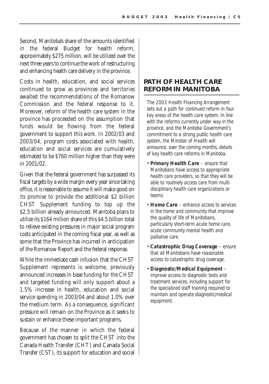Second, Manitoba's share of the amounts identified in the federal Budget for health reform, approximately \$275 million, will be utilized over the next three years to continue the work of restructuring and enhancing health care delivery in the province.

Costs in health, education, and social services continued to grow as provinces and territories awaited the recommendations of the Romanow Commission and the federal response to it. Moreover, reform of the health care system in the province has proceeded on the assumption that funds would be flowing from the federal government to support this work. In 2002/03 and 2003/04, program costs associated with health, education and social services are cumulatively estimated to be \$760 million higher than they were in 2001/02.

Given that the federal government has surpassed its fiscal targets by a wide margin every year since taking office, it is reasonable to assume it will make good on its promise to provide the additional \$2 billion CHST Supplement funding to top up the \$2.5 billion already announced. Manitoba plans to utilize its \$164 million share of this \$4.5 billion total to relieve existing pressures in major social program costs anticipated in the coming fiscal year, as well as some that the Province has incurred in anticipation of the Romanow Report and the federal response.

While the immediate cash infusion that the CHST Supplement represents is welcome, previously announced increases in base funding for the CHST and targeted funding will only support about a 1.5% increase in health, education and social service spending in 2003/04 and about 1.0% over the medium term. As a consequence, significant pressure will remain on the Province as it seeks to sustain or enhance these important programs.

Because of the manner in which the federal government has chosen to split the CHST into the Canada Health Transfer (CHT) and Canada Social Transfer (CST), its support for education and social

#### **PATH OF HEALTH CARE REFORM IN MANITOBA**

*The 2003 Health Financing Arrangement sets out a path for continued reform in four key areas of the health care system. In line with the reforms currently under way in the province, and the Manitoba Government's commitment to a strong public health care system, the Minister of Health will announce, over the coming months, details of key health care reforms in Manitoba.*

- *Primary Health Care ensure that Manitobans have access to appropriate health care providers, so that they will be able to routinely access care from multidisciplinary health care organizations or teams.*
- *Home Care enhance access to services in the home and community that improve the quality of life of Manitobans, particularly short-term acute home care, acute community mental health and palliative care.*
- *Catastrophic Drug Coverage ensure that all Manitobans have reasonable access to catastrophic drug coverage.*
- *Diagnostic/Medical Equipment – improve access to diagnostic tests and treatment services, including support for the specialized staff training required to maintain and operate diagnostic/medical equipment.*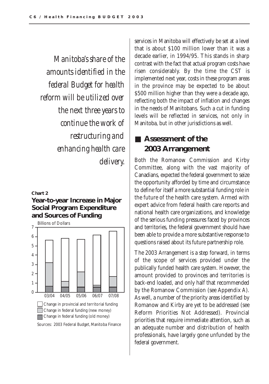*Manitoba's share of the amounts identified in the federal Budget for health reform will be utilized over the next three years to continue the work of restructuring and enhancing health care delivery.*

#### **Chart 2**

#### **Year-to-year Increase in Major Social Program Expenditure and Sources of Funding**



services in Manitoba will effectively be set at a level that is about \$100 million lower than it was a decade earlier, in 1994/95. This stands in sharp contrast with the fact that actual program costs have risen considerably. By the time the CST is implemented next year, costs in these program areas in the province may be expected to be about \$500 million higher than they were a decade ago, reflecting both the impact of inflation and changes in the needs of Manitobans. Such a cut in funding levels will be reflected in services, not only in Manitoba, but in other jurisdictions as well.

### ■ **Assessment of the 2003 Arrangement**

Both the Romanow Commission and Kirby Committee, along with the vast majority of Canadians, expected the federal government to seize the opportunity afforded by time and circumstance to define for itself a more substantial funding role in the future of the health care system. Armed with expert advice from federal health care reports and national health care organizations, and knowledge of the serious funding pressures faced by provinces and territories, the federal government should have been able to provide a more substantive response to questions raised about its future partnership role.

The 2003 Arrangement is a step forward, in terms of the scope of services provided under the publically funded health care system. However, the amount provided to provinces and territories is back-end loaded, and only half that recommended by the Romanow Commission (see Appendix A). As well, a number of the priority areas identified by Romanow and Kirby are yet to be addressed (see Reform Priorities Not Addressed). Provincial priorities that require immediate attention, such as an adequate number and distribution of health professionals, have largely gone unfunded by the federal government.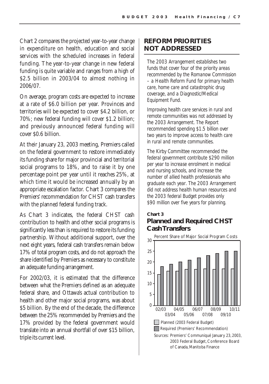Chart 2 compares the projected year-to-year change in expenditure on health, education and social services with the scheduled increases in federal funding. The year-to-year change in new federal funding is quite variable and ranges from a high of \$2.5 billion in 2003/04 to almost nothing in 2006/07.

On average, program costs are expected to increase at a rate of \$6.0 billion per year. Provinces and territories will be expected to cover \$4.2 billion, or 70%; new federal funding will cover \$1.2 billion; and previously announced federal funding will cover \$0.6 billion.

At their January 23, 2003 meeting, Premiers called on the federal government to restore immediately its funding share for major provincial and territorial social programs to 18%, and to raise it by one percentage point per year until it reaches 25%, at which time it would be increased annually by an appropriate escalation factor. Chart 3 compares the Premiers' recommendation for CHST cash transfers with the planned federal funding track.

As Chart 3 indicates, the federal CHST cash contribution to health and other social programs is significantly less than is required to restore its funding partnership. Without additional support, over the next eight years, federal cash transfers remain below 17% of total program costs, and do not approach the share identified by Premiers as necessary to constitute an adequate funding arrangement.

For 2002/03, it is estimated that the difference between what the Premiers defined as an adequate federal share, and Ottawa's actual contribution to health and other major social programs, was about \$5 billion. By the end of the decade, the difference between the 25% recommended by Premiers and the 17% provided by the federal government would translate into an annual shortfall of over \$15 billion, triple its current level.

#### **REFORM PRIORITIES NOT ADDRESSED**

*The 2003 Arrangement establishes two funds that cover four of the priority areas recommended by the Romanow Commission – a Health Reform Fund for primary health care, home care and catastrophic drug coverage, and a Diagnostic/Medical Equipment Fund.* 

*Improving health care services in rural and remote communities was not addressed by the 2003 Arrangement. The Report recommended spending \$1.5 billion over two years to improve access to health care in rural and remote communities.*

*The Kirby Committee recommended the federal government contribute \$290 million per year to increase enrolment in medical and nursing schools, and increase the number of allied health professionals who graduate each year. The 2003 Arrangement did not address health human resources and the 2003 federal Budget provides only \$90 million over five years for planning.*

#### **Planned and Required CHST Cash Transfers Chart 3**

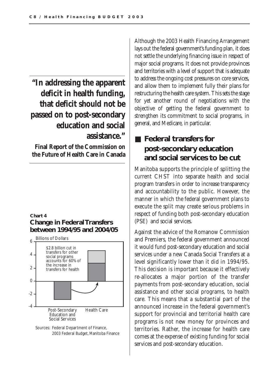**"In addressing the apparent deficit in health funding, that deficit should not be passed on to post-secondary education and social assistance."**

**Final Report of the Commission on the Future of Health Care in Canada** 

#### **Change in Federal Transfers between 1994/95 and 2004/05 Chart 4**





Although the 2003 Health Financing Arrangement lays out the federal government's funding plan, it does not settle the underlying financing issue in respect of major social programs. It does not provide provinces and territories with a level of support that is adequate to address the ongoing cost pressures on core services, and allow them to implement fully their plans for restructuring the health care system. This sets the stage for yet another round of negotiations with the objective of getting the federal government to strengthen its commitment to social programs, in general, and Medicare, in particular.

# ■ **Federal transfers for post-secondary education and social services to be cut**

Manitoba supports the principle of splitting the current CHST into separate health and social program transfers in order to increase transparency and accountability to the public. However, the manner in which the federal government plans to execute the split may create serious problems in respect of funding both post-secondary education (PSE) and social services.

Against the advice of the Romanow Commission and Premiers, the federal government announced it would fund post-secondary education and social services under a new Canada Social Transfers at a level significantly lower than it did in 1994/95. This decision is important because it effectively re-allocates a major portion of the transfer payments from post-secondary education, social assistance and other social programs, to health care. This means that a substantial part of the announced increase in the federal government's support for provincial and territorial health care programs is not new money for provinces and territories. Rather, the increase for health care comes at the expense of existing funding for social services and post-secondary education.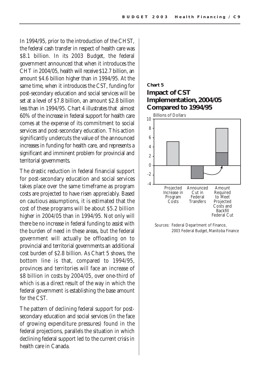In 1994/95, prior to the introduction of the CHST, the federal cash transfer in respect of health care was \$8.1 billion. In its 2003 Budget, the federal government announced that when it introduces the CHT in 2004/05, health will receive \$12.7 billion, an amount \$4.6 billion higher than in 1994/95. At the same time, when it introduces the CST, funding for post-secondary education and social services will be set at a level of \$7.8 billion, an amount \$2.8 billion less than in 1994/95. Chart 4 illustrates that almost 60% of the increase in federal support for health care comes at the expense of its commitment to social services and post-secondary education. This action significantly undercuts the value of the announced increases in funding for health care, and represents a significant and imminent problem for provincial and territorial governments.

The drastic reduction in federal financial support for post-secondary education and social services takes place over the same timeframe as program costs are projected to have risen appreciably. Based on cautious assumptions, it is estimated that the cost of these programs will be about \$5.2 billion higher in 2004/05 than in 1994/95. Not only will there be no increase in federal funding to assist with the burden of need in these areas, but the federal government will actually be offloading on to provincial and territorial governments an additional cost burden of \$2.8 billion. As Chart 5 shows, the bottom line is that, compared to 1994/95, provinces and territories will face an increase of \$8 billion in costs by 2004/05, over one-third of which is as a direct result of the way in which the federal government is establishing the base amount for the CST.

The pattern of declining federal support for postsecondary education and social services (in the face of growing expenditure pressures) found in the federal projections, parallels the situation in which declining federal support led to the current crisis in health care in Canada.

#### **Impact of CST Implementation, 2004/05 Compared to 1994/95 Chart 5**



Sources: Federal Department of Finance, 2003 Federal Budget, Manitoba Finance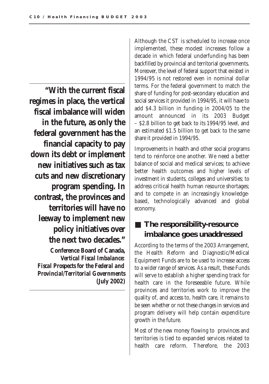**"With the current fiscal regimes in place, the vertical fiscal imbalance will widen in the future, as only the federal government has the financial capacity to pay down its debt or implement new initiatives such as tax cuts and new discretionary program spending. In contrast, the provinces and territories will have no leeway to implement new policy initiatives over the next two decades." Conference Board of Canada,**

*Vertical Fiscal Imbalance: Fiscal Prospects for the Federal and Provincial/Territorial Governments* **(July 2002)**

Although the CST is scheduled to increase once implemented, these modest increases follow a decade in which federal underfunding has been backfilled by provincial and territorial governments. Moreover, the level of federal support that existed in 1994/95 is not restored even in nominal dollar terms. For the federal government to match the share of funding for post-secondary education and social services it provided in 1994/95, it will have to add \$4.3 billion in funding in 2004/05 to the amount announced in its 2003 Budget – \$2.8 billion to get back to its 1994/95 level, and an estimated \$1.5 billion to get back to the same share it provided in 1994/95.

Improvements in health and other social programs tend to reinforce one another. We need a better balance of social and medical services; to achieve better health outcomes and higher levels of investment in students, colleges and universities; to address critical health human resource shortages; and to compete in an increasingly knowledgebased, technologically advanced and global economy.

# ■ **The responsibility-resource imbalance goes unaddressed**

According to the terms of the 2003 Arrangement, the Health Reform and Diagnostic/Medical Equipment Funds are to be used to increase access to a wider range of services. As a result, these Funds will serve to establish a higher spending track for health care in the foreseeable future. While provinces and territories work to improve the quality of, and access to, health care, it remains to be seen whether or not these changes in services and program delivery will help contain expenditure growth in the future.

Most of the new money flowing to provinces and territories is tied to expanded services related to health care reform. Therefore, the 2003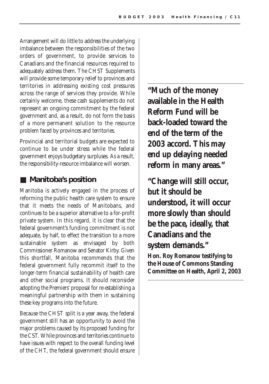Arrangement will do little to address the underlying imbalance between the responsibilities of the two orders of government, to provide services to Canadians and the financial resources required to adequately address them. The CHST Supplements will provide some temporary relief to provinces and territories in addressing existing cost pressures across the range of services they provide. While certainly welcome, these cash supplements do not represent an ongoing commitment by the federal government and, as a result, do not form the basis of a more permanent solution to the resource problem faced by provinces and territories.

Provincial and territorial budgets are expected to continue to be under stress while the federal government enjoys budgetary surpluses. As a result, the responsibility-resource imbalance will worsen.

### ■ Manitoba's position

Manitoba is actively engaged in the process of reforming the public health care system to ensure that it meets the needs of Manitobans, and continues to be a superior alternative to a for-profit private system. In this regard, it is clear that the federal government's funding commitment is not adequate, by half, to effect the transition to a more sustainable system as envisaged by both Commissioner Romanow and Senator Kirby. Given this shortfall, Manitoba recommends that the federal government fully recommit itself to the longer-term financial sustainability of health care and other social programs. It should reconsider adopting the Premiers' proposal for re-establishing a meaningful partnership with them in sustaining these key programs into the future.

Because the CHST split is a year away, the federal government still has an opportunity to avoid the major problems caused by its proposed funding for the CST. While provinces and territories continue to have issues with respect to the overall funding level of the CHT, the federal government should ensure

**"Much of the money available in the Health Reform Fund will be back-loaded toward the end of the term of the 2003 accord. This may end up delaying needed reform in many areas."**

**"Change will still occur, but it should be understood, it will occur more slowly than should be the pace, ideally, that Canadians and the system demands."**

**Hon. Roy Romanow testifying to the House of Commons Standing Committee on Health, April 2, 2003**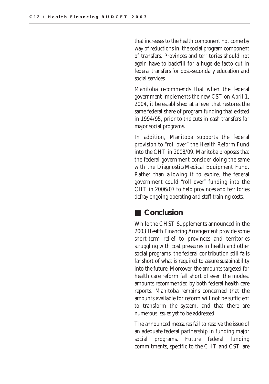that increases to the health component not come by way of reductions in the social program component of transfers. Provinces and territories should not again have to backfill for a huge de facto cut in federal transfers for post-secondary education and social services.

Manitoba recommends that when the federal government implements the new CST on April 1, 2004, it be established at a level that restores the same federal share of program funding that existed in 1994/95, prior to the cuts in cash transfers for major social programs.

In addition, Manitoba supports the federal provision to "roll over" the Health Reform Fund into the CHT in 2008/09. Manitoba proposes that the federal government consider doing the same with the Diagnostic/Medical Equipment Fund. Rather than allowing it to expire, the federal government could "roll over" funding into the CHT in 2006/07 to help provinces and territories defray ongoing operating and staff training costs.

#### ■ **Conclusion**

While the CHST Supplements announced in the 2003 Health Financing Arrangement provide some short-term relief to provinces and territories struggling with cost pressures in health and other social programs, the federal contribution still falls far short of what is required to assure sustainability into the future. Moreover, the amounts targeted for health care reform fall short of even the modest amounts recommended by both federal health care reports. Manitoba remains concerned that the amounts available for reform will not be sufficient to transform the system, and that there are numerous issues yet to be addressed.

The announced measures fail to resolve the issue of an adequate federal partnership in funding major social programs. Future federal funding commitments, specific to the CHT and CST, are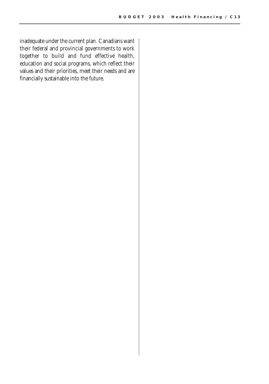inadequate under the current plan. Canadians want their federal and provincial governments to work together to build and fund effective health, education and social programs, which reflect their values and their priorities, meet their needs and are financially sustainable into the future.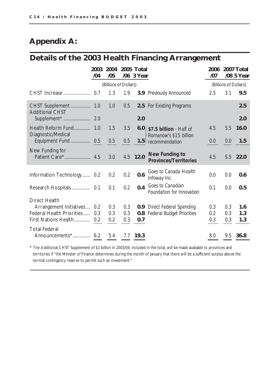# **Appendix A:**

# **Details of the 2003 Health Financing Arrangement**

|                             | 2003<br>/04           | 2004<br>/05 |     | 2005 Total<br>/06 3 Year |                                                           | 2006<br>107           |     | 2007 Total<br>/08 5 Year |
|-----------------------------|-----------------------|-------------|-----|--------------------------|-----------------------------------------------------------|-----------------------|-----|--------------------------|
|                             | (Billions of Dollars) |             |     |                          |                                                           | (Billions of Dollars) |     |                          |
| CHST Increase               | 0.7                   | 1.3         | 1.9 |                          | 3.9 Previously Announced                                  | 2.5                   | 3.1 | 9.5                      |
| <b>Additional CHST</b>      |                       | 1.0         | 0.5 |                          | <b>2.5</b> For Existing Programs                          |                       |     | 2.5                      |
|                             |                       |             |     | 2.0                      |                                                           |                       |     | 2.0                      |
| Diagnostic/Medical          |                       | 1.5         | 3.5 |                          | $6.0$   \$7.5 billion - Half of<br>Romanow's \$15 billion | 4.5                   | 5.5 | <b>16.0</b>              |
| Equipment Fund 0.5          |                       | 0.5         | 0.5 |                          | 1.5 recommendation                                        | 0.0                   | 0.0 | 1.5                      |
| New Funding for             |                       | 3.0         |     | 4.5 12.0                 | <b>New Funding to</b><br><b>Provinces/Territories</b>     | 4.5                   |     | 5.5 22.0                 |
| Information Technology 0.2  |                       | 0.2         | 0.2 | 0.6                      | Goes to Canada Health<br>Infoway Inc.                     | 0.0                   | 0.0 | 0.6                      |
|                             |                       | 0.1         | 0.2 | 0.4                      | Goes to Canadian<br>Foundation for Innovation             | 0.1                   | 0.0 | 0.5                      |
| Direct Health               |                       |             |     |                          |                                                           |                       |     |                          |
| Arrangement Initiatives 0.2 |                       | 0.3         | 0.3 |                          | <b>0.9</b> Direct Federal Spending                        | 0.3                   | 0.3 | 1.6                      |
| Federal Health Priorities   | 0.3                   | 0.3         | 0.3 |                          | <b>0.8</b> Federal Budget Priorities                      | 0.2                   | 0.3 | 1.3                      |
| First Nations Health 0.2    |                       | 0.2         | 0.3 | 0.7                      |                                                           | 0.3                   | 0.3 | 1.3                      |
| <b>Total Federal</b>        |                       |             |     |                          |                                                           |                       |     |                          |
|                             |                       | 5.4         |     | 7.7 19.3                 |                                                           | 8.0                   | 9.5 | 36.8                     |

\* The Additional CHST Supplement of \$2 billion in 2003/04, included in the total, will be made available to provinces and territories if "the Minister of Finance determines during the month of January that there will be a sufficient surplus above the normal contingency reserve to permit such an investment."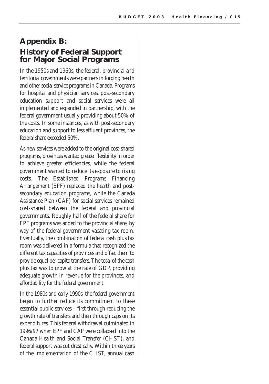### **Appendix B: History of Federal Support for Major Social Programs**

In the 1950s and 1960s, the federal, provincial and territorial governments were partners in forging health and other social service programs in Canada. Programs for hospital and physician services, post-secondary education support and social services were all implemented and expanded in partnership, with the federal government usually providing about 50% of the costs. In some instances, as with post-secondary education and support to less affluent provinces, the federal share exceeded 50%.

As new services were added to the original cost-shared programs, provinces wanted greater flexibility in order to achieve greater efficiencies, while the federal government wanted to reduce its exposure to rising costs. The Established Programs Financing Arrangement (EPF) replaced the health and postsecondary education programs, while the Canada Assistance Plan (CAP) for social services remained cost-shared between the federal and provincial governments. Roughly half of the federal share for EPF programs was added to the provincial share, by way of the federal government vacating tax room. Eventually, the combination of federal cash plus tax room was delivered in a formula that recognized the different tax capacities of provinces and offset them to provide equal per capita transfers. The total of the cash plus tax was to grow at the rate of GDP, providing adequate growth in revenue for the provinces, and affordability for the federal government.

In the 1980s and early 1990s, the federal government began to further reduce its commitment to these essential public services – first through reducing the growth rate of transfers and then through caps on its expenditures. This federal withdrawal culminated in 1996/97 when EPF and CAP were collapsed into the Canada Health and Social Transfer (CHST), and federal support was cut drastically. Within three years of the implementation of the CHST, annual cash